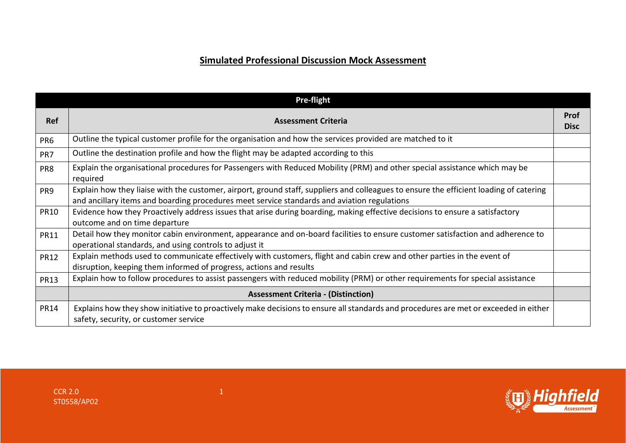## **Simulated Professional Discussion Mock Assessment**

|             | <b>Pre-flight</b>                                                                                                                                                                                                                     |                            |
|-------------|---------------------------------------------------------------------------------------------------------------------------------------------------------------------------------------------------------------------------------------|----------------------------|
| <b>Ref</b>  | <b>Assessment Criteria</b>                                                                                                                                                                                                            | <b>Prof</b><br><b>Disc</b> |
| PR6         | Outline the typical customer profile for the organisation and how the services provided are matched to it                                                                                                                             |                            |
| PR7         | Outline the destination profile and how the flight may be adapted according to this                                                                                                                                                   |                            |
| PR8         | Explain the organisational procedures for Passengers with Reduced Mobility (PRM) and other special assistance which may be<br>required                                                                                                |                            |
| PR9         | Explain how they liaise with the customer, airport, ground staff, suppliers and colleagues to ensure the efficient loading of catering<br>and ancillary items and boarding procedures meet service standards and aviation regulations |                            |
| <b>PR10</b> | Evidence how they Proactively address issues that arise during boarding, making effective decisions to ensure a satisfactory<br>outcome and on time departure                                                                         |                            |
| <b>PR11</b> | Detail how they monitor cabin environment, appearance and on-board facilities to ensure customer satisfaction and adherence to<br>operational standards, and using controls to adjust it                                              |                            |
| <b>PR12</b> | Explain methods used to communicate effectively with customers, flight and cabin crew and other parties in the event of<br>disruption, keeping them informed of progress, actions and results                                         |                            |
| <b>PR13</b> | Explain how to follow procedures to assist passengers with reduced mobility (PRM) or other requirements for special assistance                                                                                                        |                            |
|             | <b>Assessment Criteria - (Distinction)</b>                                                                                                                                                                                            |                            |
| <b>PR14</b> | Explains how they show initiative to proactively make decisions to ensure all standards and procedures are met or exceeded in either<br>safety, security, or customer service                                                         |                            |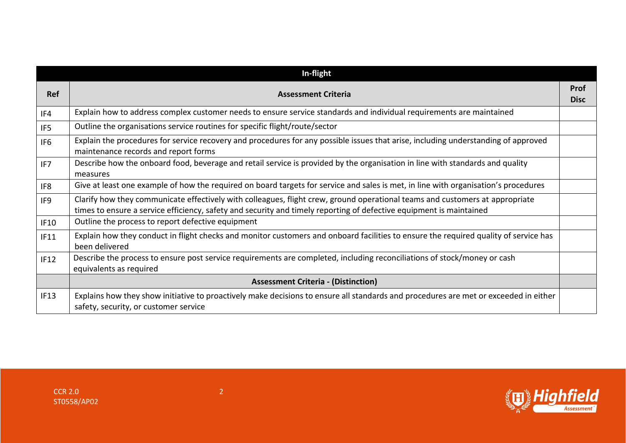|                 | In-flight                                                                                                                                                                                                                                           |                            |
|-----------------|-----------------------------------------------------------------------------------------------------------------------------------------------------------------------------------------------------------------------------------------------------|----------------------------|
| Ref             | <b>Assessment Criteria</b>                                                                                                                                                                                                                          | <b>Prof</b><br><b>Disc</b> |
| IF4             | Explain how to address complex customer needs to ensure service standards and individual requirements are maintained                                                                                                                                |                            |
| IF <sub>5</sub> | Outline the organisations service routines for specific flight/route/sector                                                                                                                                                                         |                            |
| IF <sub>6</sub> | Explain the procedures for service recovery and procedures for any possible issues that arise, including understanding of approved<br>maintenance records and report forms                                                                          |                            |
| IF7             | Describe how the onboard food, beverage and retail service is provided by the organisation in line with standards and quality<br>measures                                                                                                           |                            |
| IF8             | Give at least one example of how the required on board targets for service and sales is met, in line with organisation's procedures                                                                                                                 |                            |
| IF9             | Clarify how they communicate effectively with colleagues, flight crew, ground operational teams and customers at appropriate<br>times to ensure a service efficiency, safety and security and timely reporting of defective equipment is maintained |                            |
| <b>IF10</b>     | Outline the process to report defective equipment                                                                                                                                                                                                   |                            |
| IF11            | Explain how they conduct in flight checks and monitor customers and onboard facilities to ensure the required quality of service has<br>been delivered                                                                                              |                            |
| IF12            | Describe the process to ensure post service requirements are completed, including reconciliations of stock/money or cash<br>equivalents as required                                                                                                 |                            |
|                 | <b>Assessment Criteria - (Distinction)</b>                                                                                                                                                                                                          |                            |
| IF13            | Explains how they show initiative to proactively make decisions to ensure all standards and procedures are met or exceeded in either<br>safety, security, or customer service                                                                       |                            |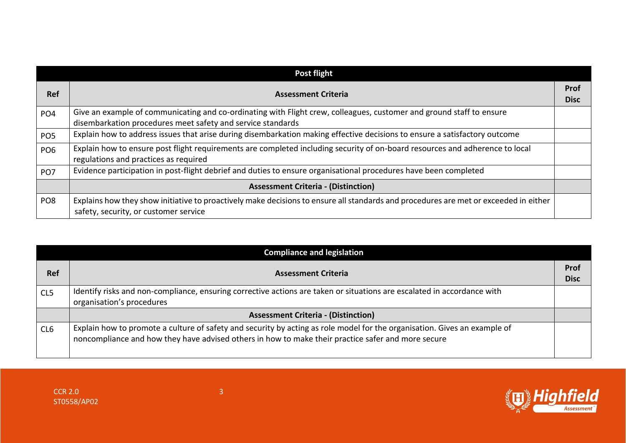| Post flight     |                                                                                                                                                                                     |                            |
|-----------------|-------------------------------------------------------------------------------------------------------------------------------------------------------------------------------------|----------------------------|
| <b>Ref</b>      | <b>Assessment Criteria</b>                                                                                                                                                          | <b>Prof</b><br><b>Disc</b> |
| PO <sub>4</sub> | Give an example of communicating and co-ordinating with Flight crew, colleagues, customer and ground staff to ensure<br>disembarkation procedures meet safety and service standards |                            |
| PO <sub>5</sub> | Explain how to address issues that arise during disembarkation making effective decisions to ensure a satisfactory outcome                                                          |                            |
| PO <sub>6</sub> | Explain how to ensure post flight requirements are completed including security of on-board resources and adherence to local<br>regulations and practices as required               |                            |
| PO <sub>7</sub> | Evidence participation in post-flight debrief and duties to ensure organisational procedures have been completed                                                                    |                            |
|                 | <b>Assessment Criteria - (Distinction)</b>                                                                                                                                          |                            |
| PO <sub>8</sub> | Explains how they show initiative to proactively make decisions to ensure all standards and procedures are met or exceeded in either<br>safety, security, or customer service       |                            |

| <b>Compliance and legislation</b> |                                                                                                                                                                                                                                 |                     |
|-----------------------------------|---------------------------------------------------------------------------------------------------------------------------------------------------------------------------------------------------------------------------------|---------------------|
| <b>Ref</b>                        | <b>Assessment Criteria</b>                                                                                                                                                                                                      | Prof<br><b>Disc</b> |
| CL5                               | Identify risks and non-compliance, ensuring corrective actions are taken or situations are escalated in accordance with<br>organisation's procedures                                                                            |                     |
|                                   | <b>Assessment Criteria - (Distinction)</b>                                                                                                                                                                                      |                     |
| CL <sub>6</sub>                   | Explain how to promote a culture of safety and security by acting as role model for the organisation. Gives an example of<br>noncompliance and how they have advised others in how to make their practice safer and more secure |                     |

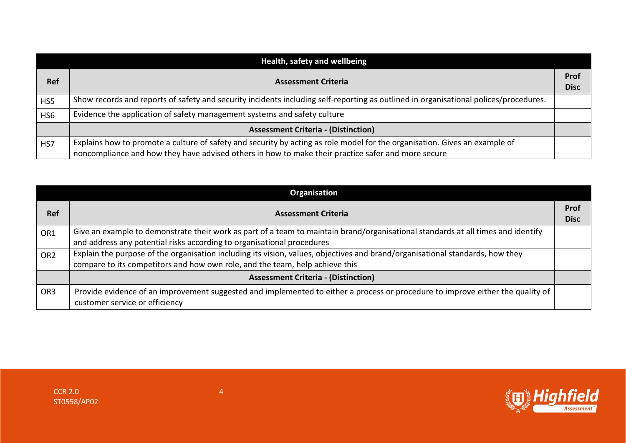| Health, safety and wellbeing |                                                                                                                                      |                            |
|------------------------------|--------------------------------------------------------------------------------------------------------------------------------------|----------------------------|
| <b>Ref</b>                   | <b>Assessment Criteria</b>                                                                                                           | <b>Prof</b><br><b>Disc</b> |
| HS5                          | Show records and reports of safety and security incidents including self-reporting as outlined in organisational polices/procedures. |                            |
| HS <sub>6</sub>              | Evidence the application of safety management systems and safety culture                                                             |                            |
|                              | <b>Assessment Criteria - (Distinction)</b>                                                                                           |                            |
| HS7                          | Explains how to promote a culture of safety and security by acting as role model for the organisation. Gives an example of           |                            |
|                              | noncompliance and how they have advised others in how to make their practice safer and more secure                                   |                            |

| Organisation    |                                                                                                                                                                                                               |                            |
|-----------------|---------------------------------------------------------------------------------------------------------------------------------------------------------------------------------------------------------------|----------------------------|
| <b>Ref</b>      | <b>Assessment Criteria</b>                                                                                                                                                                                    | <b>Prof</b><br><b>Disc</b> |
| OR1             | Give an example to demonstrate their work as part of a team to maintain brand/organisational standards at all times and identify<br>and address any potential risks according to organisational procedures    |                            |
| OR <sub>2</sub> | Explain the purpose of the organisation including its vision, values, objectives and brand/organisational standards, how they<br>compare to its competitors and how own role, and the team, help achieve this |                            |
|                 | <b>Assessment Criteria - (Distinction)</b>                                                                                                                                                                    |                            |
| OR <sub>3</sub> | Provide evidence of an improvement suggested and implemented to either a process or procedure to improve either the quality of<br>customer service or efficiency                                              |                            |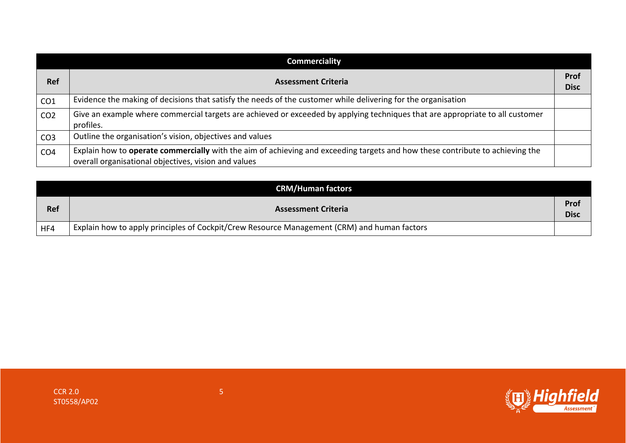| <b>Commerciality</b> |                                                                                                                                                                                       |                     |
|----------------------|---------------------------------------------------------------------------------------------------------------------------------------------------------------------------------------|---------------------|
| <b>Ref</b>           | <b>Assessment Criteria</b>                                                                                                                                                            | Prof<br><b>Disc</b> |
| CO <sub>1</sub>      | Evidence the making of decisions that satisfy the needs of the customer while delivering for the organisation                                                                         |                     |
| CO <sub>2</sub>      | Give an example where commercial targets are achieved or exceeded by applying techniques that are appropriate to all customer<br>profiles.                                            |                     |
| CO <sub>3</sub>      | Outline the organisation's vision, objectives and values                                                                                                                              |                     |
| CO <sub>4</sub>      | Explain how to operate commercially with the aim of achieving and exceeding targets and how these contribute to achieving the<br>overall organisational objectives, vision and values |                     |

|            | <b>CRM/Human factors</b>                                                                    |                     |
|------------|---------------------------------------------------------------------------------------------|---------------------|
| <b>Ref</b> | <b>Assessment Criteria</b>                                                                  | Prof<br><b>Disc</b> |
| HF4        | Explain how to apply principles of Cockpit/Crew Resource Management (CRM) and human factors |                     |